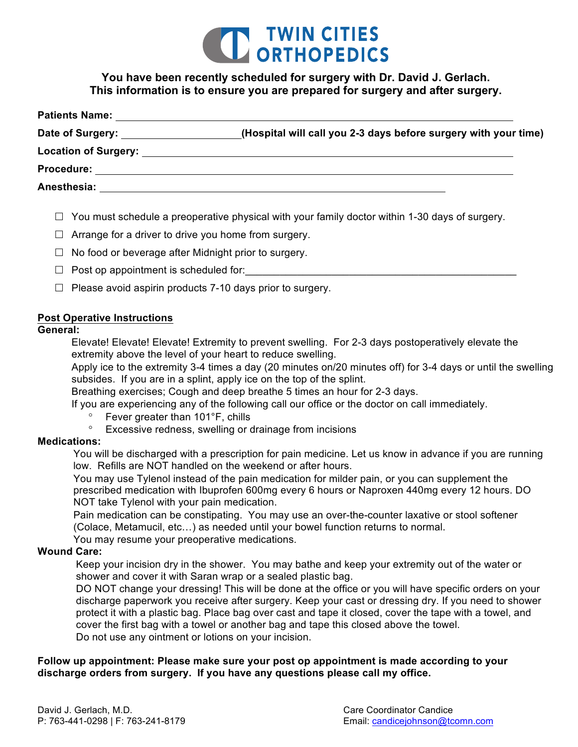

# **You have been recently scheduled for surgery with Dr. David J. Gerlach. This information is to ensure you are prepared for surgery and after surgery.**

| <b>Patients Name:</b>                             |                                                                 |
|---------------------------------------------------|-----------------------------------------------------------------|
| Date of Surgery: <u>New York Bate of Surgery:</u> | (Hospital will call you 2-3 days before surgery with your time) |
|                                                   |                                                                 |
| <b>Procedure:</b>                                 |                                                                 |
| Anesthesia:                                       |                                                                 |

- $\Box$  You must schedule a preoperative physical with your family doctor within 1-30 days of surgery.
- $\Box$  Arrange for a driver to drive you home from surgery.
- $\Box$  No food or beverage after Midnight prior to surgery.
- $\Box$  Post op appointment is scheduled for:
- $\Box$  Please avoid aspirin products 7-10 days prior to surgery.

#### **Post Operative Instructions**

### **General:**

 Elevate! Elevate! Elevate! Extremity to prevent swelling. For 2-3 days postoperatively elevate the extremity above the level of your heart to reduce swelling.

 Apply ice to the extremity 3-4 times a day (20 minutes on/20 minutes off) for 3-4 days or until the swelling subsides. If you are in a splint, apply ice on the top of the splint.

Breathing exercises; Cough and deep breathe 5 times an hour for 2-3 days.

If you are experiencing any of the following call our office or the doctor on call immediately.

- Fever greater than 101°F, chills
- ° Excessive redness, swelling or drainage from incisions

#### **Medications:**

 You will be discharged with a prescription for pain medicine. Let us know in advance if you are running low. Refills are NOT handled on the weekend or after hours.

 You may use Tylenol instead of the pain medication for milder pain, or you can supplement the prescribed medication with Ibuprofen 600mg every 6 hours or Naproxen 440mg every 12 hours. DO NOT take Tylenol with your pain medication.

 Pain medication can be constipating. You may use an over-the-counter laxative or stool softener (Colace, Metamucil, etc…) as needed until your bowel function returns to normal.

You may resume your preoperative medications.

### **Wound Care:**

 Keep your incision dry in the shower. You may bathe and keep your extremity out of the water or shower and cover it with Saran wrap or a sealed plastic bag.

 DO NOT change your dressing! This will be done at the office or you will have specific orders on your discharge paperwork you receive after surgery. Keep your cast or dressing dry. If you need to shower protect it with a plastic bag. Place bag over cast and tape it closed, cover the tape with a towel, and cover the first bag with a towel or another bag and tape this closed above the towel. Do not use any ointment or lotions on your incision.

### **Follow up appointment: Please make sure your post op appointment is made according to your discharge orders from surgery. If you have any questions please call my office.**